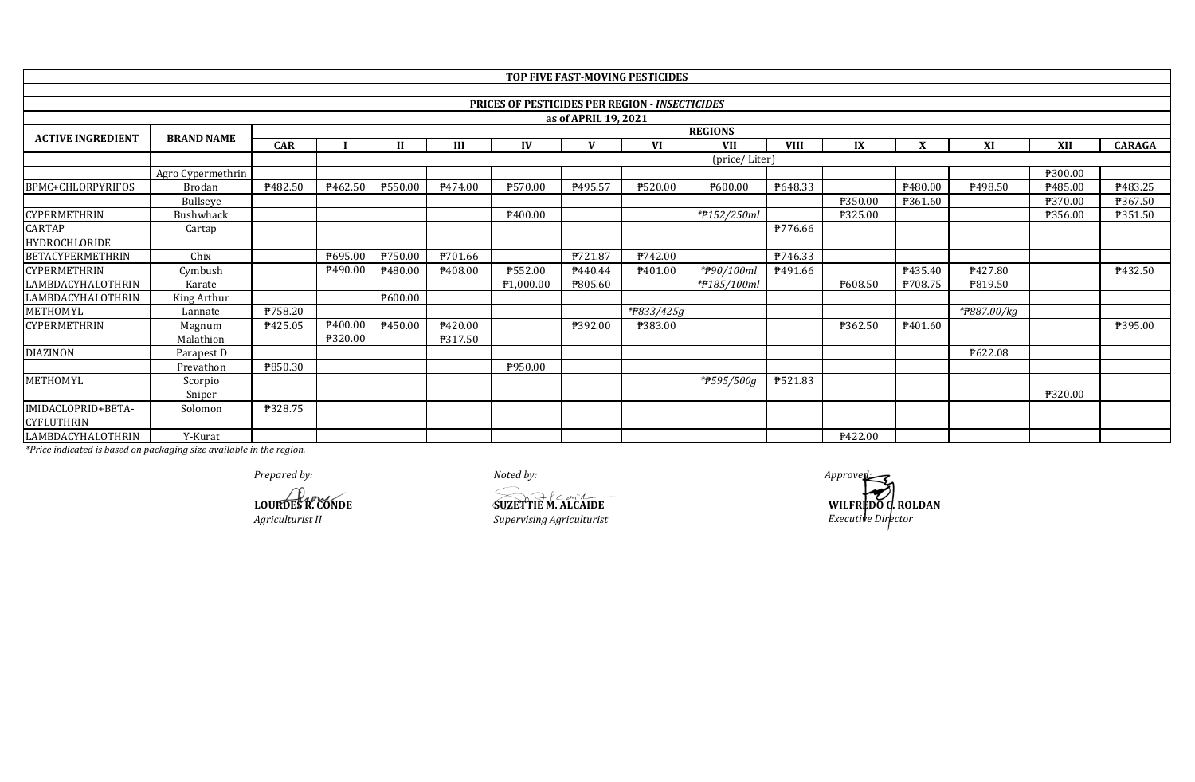|                          |                   |            |                  |              |                     |           |                      | TOP FIVE FAST-MOVING PESTICIDES                       |                |                 |         |                     |             |         |                |  |  |
|--------------------------|-------------------|------------|------------------|--------------|---------------------|-----------|----------------------|-------------------------------------------------------|----------------|-----------------|---------|---------------------|-------------|---------|----------------|--|--|
|                          |                   |            |                  |              |                     |           |                      |                                                       |                |                 |         |                     |             |         |                |  |  |
|                          |                   |            |                  |              |                     |           |                      | <b>PRICES OF PESTICIDES PER REGION - INSECTICIDES</b> |                |                 |         |                     |             |         |                |  |  |
|                          |                   |            |                  |              |                     |           | as of APRIL 19, 2021 |                                                       |                |                 |         |                     |             |         |                |  |  |
| <b>ACTIVE INGREDIENT</b> | <b>BRAND NAME</b> |            |                  |              |                     |           |                      |                                                       | <b>REGIONS</b> |                 |         |                     |             |         |                |  |  |
|                          |                   | <b>CAR</b> |                  | $\mathbf{I}$ | III                 | IV        | $\mathbf{V}$         | <b>VI</b>                                             | <b>VII</b>     | <b>VIII</b>     | IX      | X                   | XI          | XII     | <b>CARAGA</b>  |  |  |
|                          |                   |            |                  |              |                     |           |                      |                                                       | (price/Liter)  |                 |         |                     |             |         |                |  |  |
|                          | Agro Cypermethrin |            |                  |              |                     |           |                      |                                                       |                |                 |         |                     |             | ₱300.00 |                |  |  |
| BPMC+CHLORPYRIFOS        | Brodan            | ₹482.50    | P462.50          | ₱550.00      | P474.00             | ₱570.00   | P495.57              | ₱520.00                                               | ₱600.00        | P648.33         |         | P480.00             | P498.50     | P485.00 | P483.25        |  |  |
|                          | Bullseye          |            |                  |              |                     |           |                      |                                                       |                |                 | ₱350.00 | P361.60             |             | ₱370.00 | P367.50        |  |  |
| <b>CYPERMETHRIN</b>      | Bushwhack         |            |                  |              |                     | P400.00   |                      |                                                       | *#152/250ml    |                 | ₱325.00 |                     |             | ₱356.00 | <b>P351.50</b> |  |  |
| <b>CARTAP</b>            | Cartap            |            |                  |              |                     |           |                      |                                                       |                | ₱776.66         |         |                     |             |         |                |  |  |
| <b>HYDROCHLORIDE</b>     |                   |            |                  |              |                     |           |                      |                                                       |                |                 |         |                     |             |         |                |  |  |
| <b>BETACYPERMETHRIN</b>  | Chix              |            | <b>\\$695.00</b> | P750.00      | P701.66             |           | P721.87              | ₱742.00                                               |                | P746.33         |         |                     |             |         |                |  |  |
| <b>CYPERMETHRIN</b>      | Cymbush           |            | P490.00          | 7480.00      | P <sub>408.00</sub> | ₱552.00   | P440.44              | P <sub>401.00</sub>                                   | *#90/100ml     | <b>₱</b> 491.66 |         | P435.40             | ₱427.80     |         | P432.50        |  |  |
| LAMBDACYHALOTHRIN        | Karate            |            |                  |              |                     | P1,000.00 | ₱805.60              |                                                       | *#185/100ml    |                 | ₱608.50 | ₱708.75             | P819.50     |         |                |  |  |
| LAMBDACYHALOTHRIN        | King Arthur       |            |                  | ₱600.00      |                     |           |                      |                                                       |                |                 |         |                     |             |         |                |  |  |
| METHOMYL                 | Lannate           | ₱758.20    |                  |              |                     |           |                      | *#833/425g                                            |                |                 |         |                     | *#887.00/kg |         |                |  |  |
| <b>CYPERMETHRIN</b>      | Magnum            | ₱425.05    | ₱400.00          | P450.00      | P <sub>420.00</sub> |           | ₱392.00              | ₱383.00                                               |                |                 | ₹362.50 | P <sub>401.60</sub> |             |         | <b>P395.00</b> |  |  |
|                          | Malathion         |            | ₱320.00          |              | P317.50             |           |                      |                                                       |                |                 |         |                     |             |         |                |  |  |
| <b>DIAZINON</b>          | Parapest D        |            |                  |              |                     |           |                      |                                                       |                |                 |         |                     | ₱622.08     |         |                |  |  |
|                          | Prevathon         | ₱850.30    |                  |              |                     | P950.00   |                      |                                                       |                |                 |         |                     |             |         |                |  |  |
| METHOMYL                 | Scorpio           |            |                  |              |                     |           |                      |                                                       | *#595/500g     | ₱521.83         |         |                     |             |         |                |  |  |
|                          | Sniper            |            |                  |              |                     |           |                      |                                                       |                |                 |         |                     |             | ₱320.00 |                |  |  |
| IMIDACLOPRID+BETA-       | Solomon           | ₱328.75    |                  |              |                     |           |                      |                                                       |                |                 |         |                     |             |         |                |  |  |
| <b>CYFLUTHRIN</b>        |                   |            |                  |              |                     |           |                      |                                                       |                |                 |         |                     |             |         |                |  |  |
| LAMBDACYHALOTHRIN        | Y-Kurat           |            |                  |              |                     |           |                      |                                                       |                |                 | ₱422.00 |                     |             |         |                |  |  |

**LOURDES R. CONDE SUZETTIE M. ALCAIDE**

*Agriculturist II Supervising Agriculturist Executive Director*

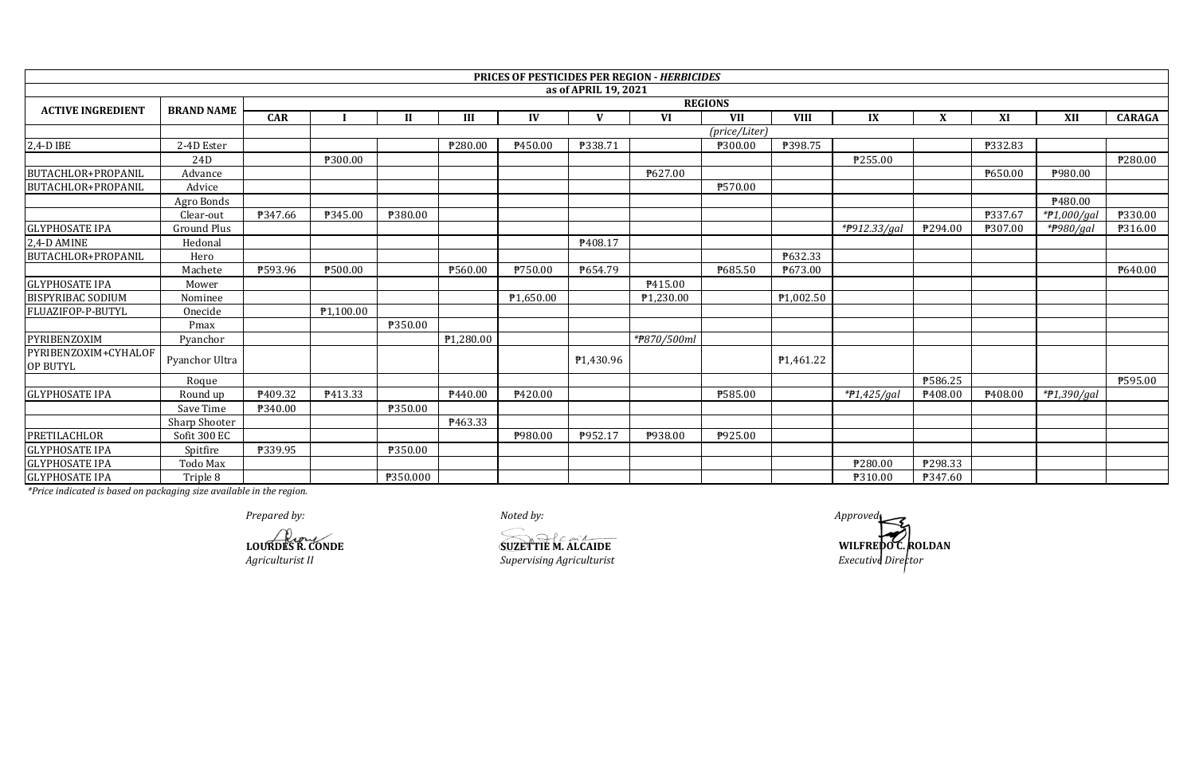|                                  |                    |            |           |          |                       |                       |                        | <b>PRICES OF PESTICIDES PER REGION - HERBICIDES</b> |                |                        |               |         |                |                |                |
|----------------------------------|--------------------|------------|-----------|----------|-----------------------|-----------------------|------------------------|-----------------------------------------------------|----------------|------------------------|---------------|---------|----------------|----------------|----------------|
|                                  |                    |            |           |          |                       |                       | as of APRIL 19, 2021   |                                                     |                |                        |               |         |                |                |                |
| <b>ACTIVE INGREDIENT</b>         | <b>BRAND NAME</b>  |            |           |          |                       |                       |                        |                                                     | <b>REGIONS</b> |                        |               |         |                |                |                |
|                                  |                    | <b>CAR</b> |           | Н        | Ш                     | IV                    |                        | <b>VI</b>                                           | <b>VII</b>     | <b>VIII</b>            | IX            | X       | XI             | XII            | <b>CARAGA</b>  |
|                                  |                    |            |           |          |                       |                       |                        |                                                     | (price/Liter)  |                        |               |         |                |                |                |
| 2,4-D IBE                        | 2-4D Ester         |            |           |          | ₱280.00               | P450.00               | ₹338.71                |                                                     | ₱300.00        | <b>P398.75</b>         |               |         | <b>P332.83</b> |                |                |
|                                  | 24D                |            | ₱300.00   |          |                       |                       |                        |                                                     |                |                        | P255.00       |         |                |                | ₱280.00        |
| BUTACHLOR+PROPANIL               | Advance            |            |           |          |                       |                       |                        | ₱627.00                                             |                |                        |               |         | P650.00        | <b>\980.00</b> |                |
| BUTACHLOR+PROPANIL               | Advice             |            |           |          |                       |                       |                        |                                                     | ₱570.00        |                        |               |         |                |                |                |
|                                  | Agro Bonds         |            |           |          |                       |                       |                        |                                                     |                |                        |               |         |                | P480.00        |                |
|                                  | Clear-out          | ₱347.66    | ₱345.00   | ₱380.00  |                       |                       |                        |                                                     |                |                        |               |         | ₱337.67        | *P1.000/gal    | ₹330.00        |
| <b>GLYPHOSATE IPA</b>            | <b>Ground Plus</b> |            |           |          |                       |                       |                        |                                                     |                |                        | *P912.33/gal  | ₱294.00 | ₱307.00        | *#980/gal      | <b>P316.00</b> |
| 2,4-D AMINE                      | Hedonal            |            |           |          |                       |                       | P408.17                |                                                     |                |                        |               |         |                |                |                |
| <b>BUTACHLOR+PROPANIL</b>        | Hero               |            |           |          |                       |                       |                        |                                                     |                | P632.33                |               |         |                |                |                |
|                                  | Machete            | ₱593.96    | P500.00   |          | ₱560.00               | ₱750.00               | ₹654.79                |                                                     | ₱685.50        | P673.00                |               |         |                |                | ₹640.00        |
| <b>GLYPHOSATE IPA</b>            | Mower              |            |           |          |                       |                       |                        | P415.00                                             |                |                        |               |         |                |                |                |
| <b>BISPYRIBAC SODIUM</b>         | Nominee            |            |           |          |                       | P <sub>1.650.00</sub> |                        | P <sub>1.230.00</sub>                               |                | ₱1,002.50              |               |         |                |                |                |
| FLUAZIFOP-P-BUTYL                | Onecide            |            | P1.100.00 |          |                       |                       |                        |                                                     |                |                        |               |         |                |                |                |
|                                  | Pmax               |            |           | ₹350.00  |                       |                       |                        |                                                     |                |                        |               |         |                |                |                |
| PYRIBENZOXIM                     | Pyanchor           |            |           |          | P <sub>1,280.00</sub> |                       |                        | *P870/500ml                                         |                |                        |               |         |                |                |                |
| PYRIBENZOXIM+CYHALOF<br>OP BUTYL | Pyanchor Ultra     |            |           |          |                       |                       | P <sub>1</sub> ,430.96 |                                                     |                | P <sub>1</sub> ,461.22 |               |         |                |                |                |
|                                  | Roque              |            |           |          |                       |                       |                        |                                                     |                |                        |               | ₱586.25 |                |                | ₱595.00        |
| <b>GLYPHOSATE IPA</b>            | Round up           | ₹409.32    | P413.33   |          | P440.00               | ₹420.00               |                        |                                                     | ₱585.00        |                        | $*P1,425/gal$ | P408.00 | ₹408.00        | *P1,390/gal    |                |
|                                  | Save Time          | ₱340.00    |           | ₱350.00  |                       |                       |                        |                                                     |                |                        |               |         |                |                |                |
|                                  | Sharp Shooter      |            |           |          | P463.33               |                       |                        |                                                     |                |                        |               |         |                |                |                |
| PRETILACHLOR                     | Sofit 300 EC       |            |           |          |                       | P980.00               | P952.17                | P938.00                                             | P925.00        |                        |               |         |                |                |                |
| <b>GLYPHOSATE IPA</b>            | Spitfire           | ₱339.95    |           | ₹350.00  |                       |                       |                        |                                                     |                |                        |               |         |                |                |                |
| <b>GLYPHOSATE IPA</b>            | Todo Max           |            |           |          |                       |                       |                        |                                                     |                |                        | ₱280.00       | P298.33 |                |                |                |
| <b>GLYPHOSATE IPA</b>            | Triple 8           |            |           | ₱350.000 |                       |                       |                        |                                                     |                |                        | ₱310.00       | ₹347.60 |                |                |                |

*Prepared by: Noted by: Approved:*

*Agriculturist II Bupervising Agriculturist* **LOURDES R. CONDE SUZETTIE M. ALCAIDE** 

**WILFREDO C. ROLDAN**<br>*Executive Director*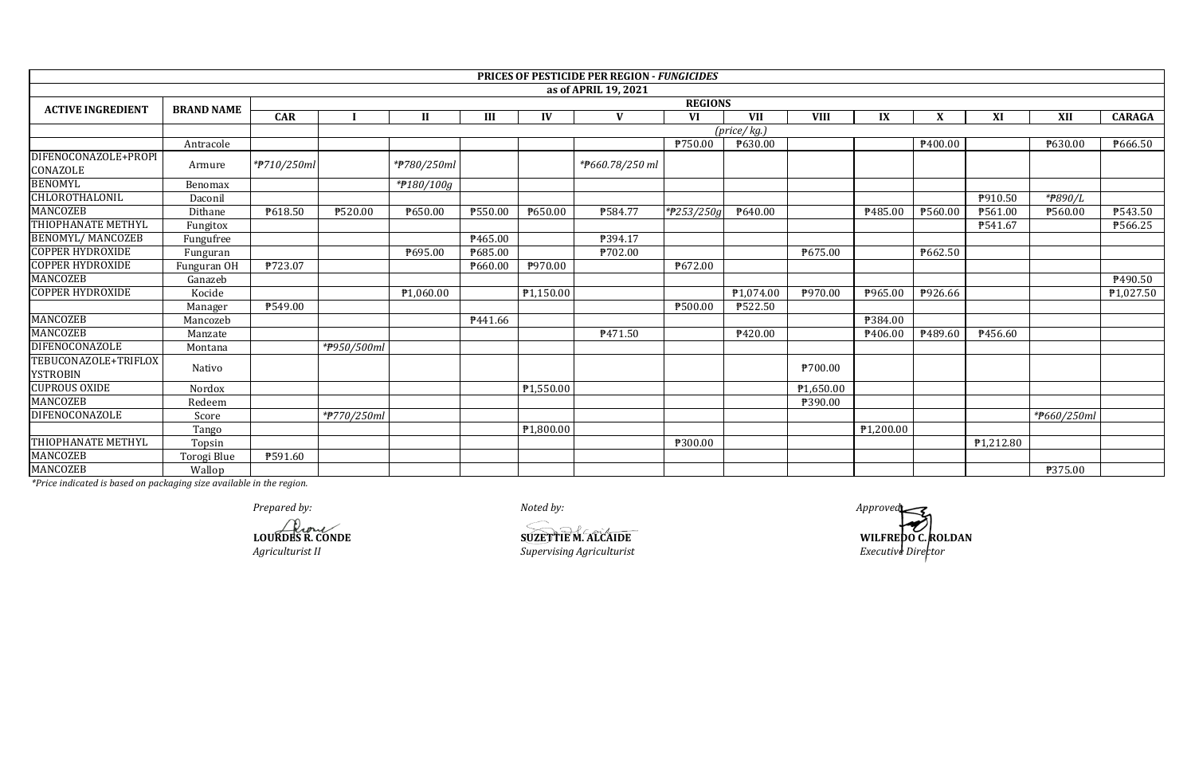|                                  |                   |             |             |                              |         |           | <b>PRICES OF PESTICIDE PER REGION - FUNGICIDES</b> |                |             |             |                     |         |                        |             |                        |
|----------------------------------|-------------------|-------------|-------------|------------------------------|---------|-----------|----------------------------------------------------|----------------|-------------|-------------|---------------------|---------|------------------------|-------------|------------------------|
|                                  |                   |             |             |                              |         |           | as of APRIL 19, 2021                               |                |             |             |                     |         |                        |             |                        |
| <b>ACTIVE INGREDIENT</b>         | <b>BRAND NAME</b> |             |             |                              |         |           |                                                    | <b>REGIONS</b> |             |             |                     |         |                        |             |                        |
|                                  |                   | <b>CAR</b>  |             | $\mathbf{H}$                 | III     | IV        | $\mathbf{V}$                                       | <b>VI</b>      | <b>VII</b>  | <b>VIII</b> | IX                  | X       | XI                     | XII         | <b>CARAGA</b>          |
|                                  |                   |             |             |                              |         |           |                                                    |                | (price/kg.) |             |                     |         |                        |             |                        |
|                                  | Antracole         |             |             |                              |         |           |                                                    | ₹750.00        | ₹630.00     |             |                     | ₱400.00 |                        | ₱630.00     | P666.50                |
| DIFENOCONAZOLE+PROPI<br>CONAZOLE | Armure            | *#710/250ml |             | *#780/250ml                  |         |           | * <del>P</del> 660.78/250 ml                       |                |             |             |                     |         |                        |             |                        |
| <b>BENOMYL</b>                   | Benomax           |             |             | $\sqrt{\frac{4}{7}}180/100g$ |         |           |                                                    |                |             |             |                     |         |                        |             |                        |
| CHLOROTHALONIL                   | Daconil           |             |             |                              |         |           |                                                    |                |             |             |                     |         | P910.50                | *#890/L     |                        |
| MANCOZEB                         | Dithane           | P618.50     | ₱520.00     | P650.00                      | ₱550.00 | ₱650.00   | ₱584.77                                            | *#253/250g     | P640.00     |             | P485.00             | ₱560.00 | ₹561.00                | ₱560.00     | ₱543.50                |
| THIOPHANATE METHYL               | Fungitox          |             |             |                              |         |           |                                                    |                |             |             |                     |         | ₱541.67                |             | P566.25                |
| <b>BENOMYL/ MANCOZEB</b>         | Fungufree         |             |             |                              | ₱465.00 |           | P394.17                                            |                |             |             |                     |         |                        |             |                        |
| <b>COPPER HYDROXIDE</b>          | Funguran          |             |             | P695.00                      | ₹685.00 |           | ₱702.00                                            |                |             | P675.00     |                     | ₱662.50 |                        |             |                        |
| <b>COPPER HYDROXIDE</b>          | Funguran OH       | P723.07     |             |                              | ₱660.00 | P970.00   |                                                    | ₹672.00        |             |             |                     |         |                        |             |                        |
| <b>MANCOZEB</b>                  | Ganazeb           |             |             |                              |         |           |                                                    |                |             |             |                     |         |                        |             | P490.50                |
| <b>COPPER HYDROXIDE</b>          | Kocide            |             |             | ₱1,060.00                    |         | P1,150.00 |                                                    |                | ₱1,074.00   | P970.00     | P965.00             | ₱926.66 |                        |             | $\overline{P1,027.50}$ |
|                                  | Manager           | P549.00     |             |                              |         |           |                                                    | ₱500.00        | ₱522.50     |             |                     |         |                        |             |                        |
| MANCOZEB                         | Mancozeb          |             |             |                              | P441.66 |           |                                                    |                |             |             | <b>P384.00</b>      |         |                        |             |                        |
| <b>MANCOZEB</b>                  | Manzate           |             |             |                              |         |           | P471.50                                            |                | ₱420.00     |             | P <sub>406.00</sub> | ₱489.60 | ₱456.60                |             |                        |
| <b>DIFENOCONAZOLE</b>            | Montana           |             | *#950/500ml |                              |         |           |                                                    |                |             |             |                     |         |                        |             |                        |
| TEBUCONAZOLE+TRIFLOX<br>YSTROBIN | Nativo            |             |             |                              |         |           |                                                    |                |             | ₱700.00     |                     |         |                        |             |                        |
| <b>CUPROUS OXIDE</b>             | Nordox            |             |             |                              |         | P1,550.00 |                                                    |                |             | P1,650.00   |                     |         |                        |             |                        |
| <b>MANCOZEB</b>                  | Redeem            |             |             |                              |         |           |                                                    |                |             | ₱390.00     |                     |         |                        |             |                        |
| DIFENOCONAZOLE                   | Score             |             | *#770/250ml |                              |         |           |                                                    |                |             |             |                     |         |                        | *#660/250ml |                        |
|                                  | Tango             |             |             |                              |         | P1,800.00 |                                                    |                |             |             | ₱1,200.00           |         |                        |             |                        |
| THIOPHANATE METHYL               | Topsin            |             |             |                              |         |           |                                                    | ₱300.00        |             |             |                     |         | P <sub>1</sub> ,212.80 |             |                        |
| <b>MANCOZEB</b>                  | Torogi Blue       | P591.60     |             |                              |         |           |                                                    |                |             |             |                     |         |                        |             |                        |
| MANCOZEB                         | Wallop            |             |             |                              |         |           |                                                    |                |             |             |                     |         |                        | ₱375.00     |                        |

*Prepared by: Noted by: Approved:*

**Agriculturist II**<br>*Agriculturist II Supervising Agriculturist Exercises* 

**LOURDES R. CONDE SUZETTIE M. ALCAIDE**

**WILFREDO C. ROLDAN**<br>Executive Director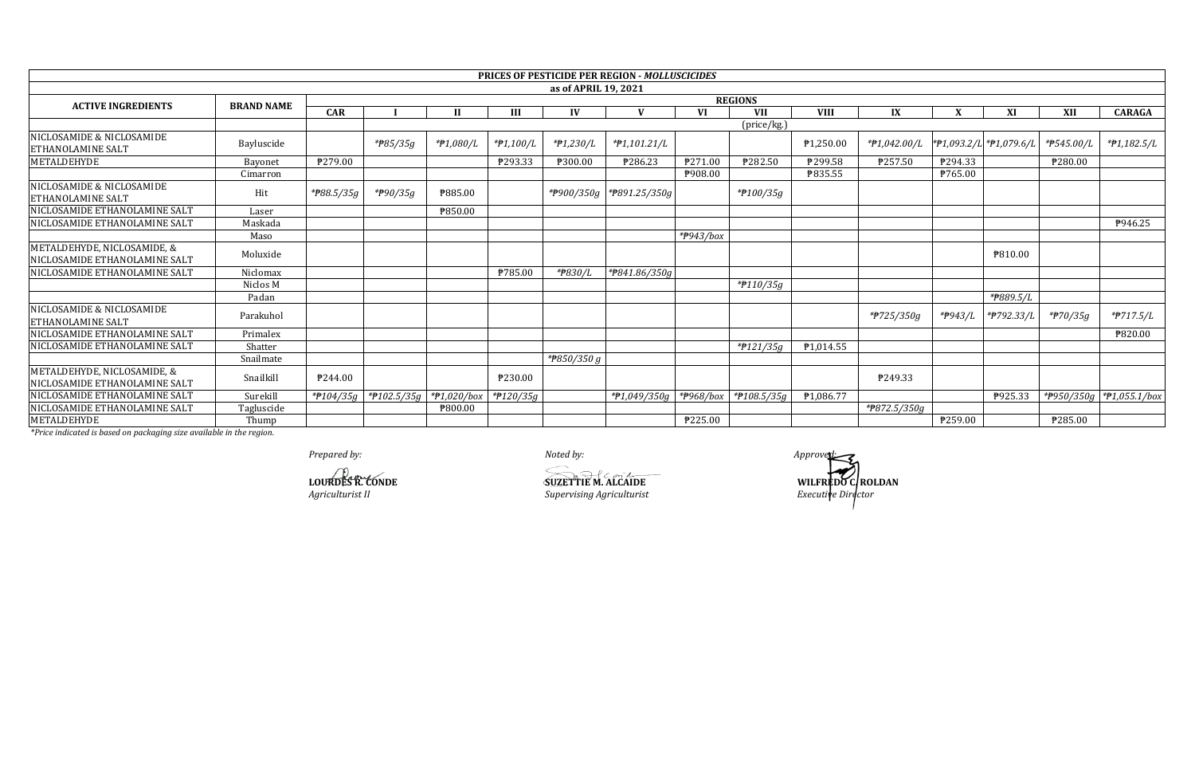|                                                              |                   |            |                         |           |                      |                      | <b>PRICES OF PESTICIDE PER REGION - MOLLUSCICIDES</b> |           |                        |                        |              |         |                         |                     |                          |  |
|--------------------------------------------------------------|-------------------|------------|-------------------------|-----------|----------------------|----------------------|-------------------------------------------------------|-----------|------------------------|------------------------|--------------|---------|-------------------------|---------------------|--------------------------|--|
|                                                              |                   |            |                         |           |                      | as of APRIL 19, 2021 |                                                       |           |                        |                        |              |         |                         |                     |                          |  |
| <b>ACTIVE INGREDIENTS</b>                                    | <b>BRAND NAME</b> |            | <b>REGIONS</b>          |           |                      |                      |                                                       |           |                        |                        |              |         |                         |                     |                          |  |
|                                                              |                   | CAR        |                         | П         | Ш                    | IV                   |                                                       | <b>VI</b> | <b>VII</b>             | <b>VIII</b>            | IX           |         | XI                      | XII                 | <b>CARAGA</b>            |  |
|                                                              |                   |            |                         |           |                      |                      |                                                       |           | $(\text{price/kg})$    |                        |              |         |                         |                     |                          |  |
| NICLOSAMIDE & NICLOSAMIDE<br><b>ETHANOLAMINE SALT</b>        | Bayluscide        |            | * <del>P</del> 85/35g   | *#1,080/L | *#1,100/L            | $*P1,230/L$          | $*P1,101.21/L$                                        |           |                        | ₱1,250.00              | *P1,042.00/L |         | *#1,093.2/L *#1,079.6/L | *P545.00/L          | *#1,182.5/L              |  |
| METALDEHYDE                                                  | Bayonet           | ₱279.00    |                         |           | P293.33              | ₱300.00              | P286.23                                               | P271.00   | ₹282.50                | ₱299.58                | ₱257.50      | P294.33 |                         | ₱280.00             |                          |  |
|                                                              | Cimarron          |            |                         |           |                      |                      |                                                       | P908.00   |                        | ₱835.55                |              | P765.00 |                         |                     |                          |  |
| NICLOSAMIDE & NICLOSAMIDE<br><b>ETHANOLAMINE SALT</b>        | Hit               | *#88.5/35g | *#90/35g                | ₱885.00   |                      |                      | *P900/350g   *P891.25/350g                            |           | $*$ <b>P</b> 100/35g   |                        |              |         |                         |                     |                          |  |
| NICLOSAMIDE ETHANOLAMINE SALT                                | Laser             |            |                         | ₱850.00   |                      |                      |                                                       |           |                        |                        |              |         |                         |                     |                          |  |
| NICLOSAMIDE ETHANOLAMINE SALT                                | Maskada           |            |                         |           |                      |                      |                                                       |           |                        |                        |              |         |                         |                     | P946.25                  |  |
|                                                              | Maso              |            |                         |           |                      |                      |                                                       | *P943/box |                        |                        |              |         |                         |                     |                          |  |
| METALDEHYDE, NICLOSAMIDE, &<br>NICLOSAMIDE ETHANOLAMINE SALT | Moluxide          |            |                         |           |                      |                      |                                                       |           |                        |                        |              |         | P810.00                 |                     |                          |  |
| NICLOSAMIDE ETHANOLAMINE SALT                                | Niclomax          |            |                         |           | ₱785.00              | *P830/L              | *P841.86/350g                                         |           |                        |                        |              |         |                         |                     |                          |  |
|                                                              | Niclos M          |            |                         |           |                      |                      |                                                       |           | $*$ P110/35g           |                        |              |         |                         |                     |                          |  |
|                                                              | Padan             |            |                         |           |                      |                      |                                                       |           |                        |                        |              |         | *#889.5/L               |                     |                          |  |
| NICLOSAMIDE & NICLOSAMIDE<br><b>ETHANOLAMINE SALT</b>        | Parakuhol         |            |                         |           |                      |                      |                                                       |           |                        |                        | *#725/350g   | *P943/L | *P792.33/L              | $*$ <b>P</b> 70/35g | *#717.5/L                |  |
| NICLOSAMIDE ETHANOLAMINE SALT                                | Primalex          |            |                         |           |                      |                      |                                                       |           |                        |                        |              |         |                         |                     | ₱820.00                  |  |
| NICLOSAMIDE ETHANOLAMINE SALT                                | Shatter           |            |                         |           |                      |                      |                                                       |           | $*$ <b>P</b> 121/35g   | P <sub>1</sub> ,014.55 |              |         |                         |                     |                          |  |
|                                                              | Snailmate         |            |                         |           |                      | *#850/350 g          |                                                       |           |                        |                        |              |         |                         |                     |                          |  |
| METALDEHYDE, NICLOSAMIDE, &<br>NICLOSAMIDE ETHANOLAMINE SALT | Snailkill         | P244.00    |                         |           | ₱230.00              |                      |                                                       |           |                        |                        | ₹249.33      |         |                         |                     |                          |  |
| NICLOSAMIDE ETHANOLAMINE SALT                                | Surekill          | *#104/35g  | *#102.5/35g *#1,020/box |           | $*$ <b>P</b> 120/35g |                      | *#1,049/350g                                          | *#968/box | $*$ <b>P</b> 108.5/35g | P1,086.77              |              |         | P925.33                 |                     | *P950/350g *P1,055.1/box |  |
| NICLOSAMIDE ETHANOLAMINE SALT                                | Tagluscide        |            |                         | ₱800.00   |                      |                      |                                                       |           |                        |                        | *P872.5/350g |         |                         |                     |                          |  |
| METALDEHYDE                                                  | Thump             |            |                         |           |                      |                      |                                                       | P225.00   |                        |                        |              | ₱259.00 |                         | ₱285.00             |                          |  |

Prepared by:

**LOURDES R. CONDE**<br>Agriculturist II

**SUZETTIE M. ALCAIDE** Supervising Agriculturist

Noted by:

Approver WILFREDO CROLDAN